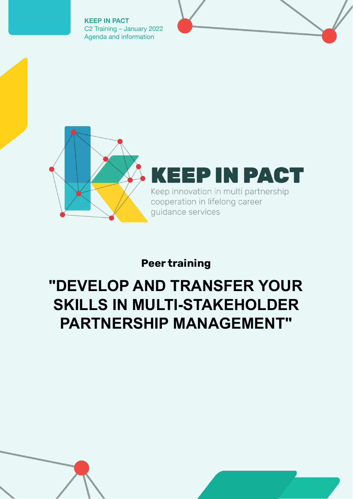**KEEP IN PACT** C2 Training – January 2022 Agenda and information



## **Peer training**

# **"DEVELOP AND TRANSFER YOUR SKILLS IN MULTI-STAKEHOLDER PARTNERSHIP MANAGEMENT"**

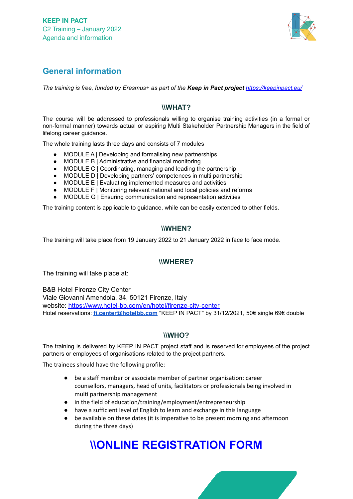

#### **General information**

*The training is free, funded by Erasmus+ as part of the Keep in Pact project <https://keepinpact.eu/>*

#### **\\WHAT?**

The course will be addressed to professionals willing to organise training activities (in a formal or non-formal manner) towards actual or aspiring Multi Stakeholder Partnership Managers in the field of lifelong career guidance.

The whole training lasts three days and consists of 7 modules

- MODULE A | Developing and formalising new partnerships
- MODULE B | Administrative and financial monitoring
- MODULE C | Coordinating, managing and leading the partnership
- MODULE D | Developing partners' competences in multi partnership
- MODULE E | Evaluating implemented measures and activities
- MODULE F | Monitoring relevant national and local policies and reforms
- MODULE G | Ensuring communication and representation activities

The training content is applicable to guidance, while can be easily extended to other fields.

#### **\\WHEN?**

The training will take place from 19 January 2022 to 21 January 2022 in face to face mode.

#### **\\WHERE?**

The training will take place at:

B&B Hotel Firenze City Center Viale Giovanni Amendola, 34, 50121 Firenze, Italy website: <https://www.hotel-bb.com/en/hotel/firenze-city-center> Hotel reservations: **[fi.center@hotelbb.com](mailto:fi.center@hotelbb.com)** "KEEP IN PACT" by 31/12/2021, 50€ single 69€ double

#### **\\WHO?**

The training is delivered by KEEP IN PACT project staff and is reserved for employees of the project partners or employees of organisations related to the project partners.

The trainees should have the following profile:

- be a staff member or associate member of partner organisation: career counsellors, managers, head of units, facilitators or professionals being involved in multi partnership management
- in the field of education/training/employment/entrepreneurship
- have a sufficient level of English to learn and exchange in this language
- be available on these dates (it is imperative to be present morning and afternoon during the three days)

## **\\ONLINE [REGISTRATION](https://forms.office.com/Pages/ResponsePage.aspx?id=yLJhBkarkkecSaqj96uGDzdlEOAEkgdIlbC3o8XxwndUQzg2N1BBVlNVNlNYSDlGQUdSMjNMQ1dXNS4u) FORM**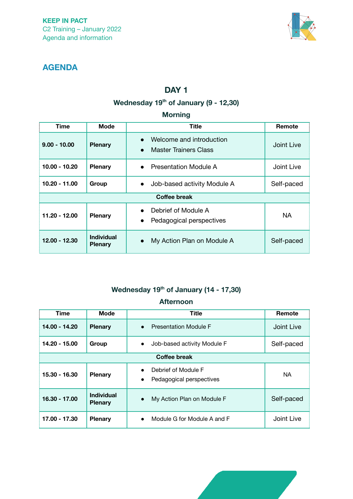

## **AGENDA**

## **DAY 1**

## **Wednesday 19th of January (9 - 12,30)**

#### **Morning**

| Time                | <b>Mode</b>                         | Title                                                                 | Remote     |
|---------------------|-------------------------------------|-----------------------------------------------------------------------|------------|
| $9.00 - 10.00$      | <b>Plenary</b>                      | Welcome and introduction<br><b>Master Trainers Class</b><br>$\bullet$ | Joint Live |
| $10.00 - 10.20$     | <b>Plenary</b>                      | <b>Presentation Module A</b><br>$\bullet$                             | Joint Live |
| $10.20 - 11.00$     | Group                               | Job-based activity Module A<br>$\bullet$                              | Self-paced |
| <b>Coffee break</b> |                                     |                                                                       |            |
| $11.20 - 12.00$     | <b>Plenary</b>                      | Debrief of Module A<br>Pedagogical perspectives<br>$\bullet$          | <b>NA</b>  |
| 12.00 - 12.30       | <b>Individual</b><br><b>Plenary</b> | My Action Plan on Module A<br>$\bullet$                               | Self-paced |

## **Wednesday 19th of January (14 - 17,30)**

#### **Afternoon**

| <b>Time</b>         | <b>Mode</b>                         | <b>Title</b>                                                              | Remote     |
|---------------------|-------------------------------------|---------------------------------------------------------------------------|------------|
| 14.00 - 14.20       | <b>Plenary</b>                      | <b>Presentation Module F</b><br>$\bullet$                                 | Joint Live |
| 14.20 - 15.00       | Group                               | Job-based activity Module F<br>$\bullet$                                  | Self-paced |
| <b>Coffee break</b> |                                     |                                                                           |            |
| 15.30 - 16.30       | <b>Plenary</b>                      | Debrief of Module F<br>$\bullet$<br>Pedagogical perspectives<br>$\bullet$ | <b>NA</b>  |
| 16.30 - 17.00       | <b>Individual</b><br><b>Plenary</b> | My Action Plan on Module F<br>$\bullet$                                   | Self-paced |
| 17.00 - 17.30       | <b>Plenary</b>                      | Module G for Module A and F<br>$\bullet$                                  | Joint Live |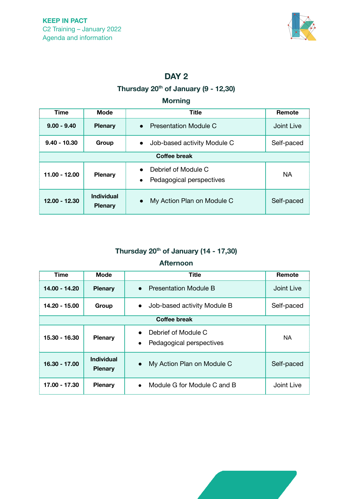

## **DAY 2**

## **Thursday 20th of January (9 - 12,30)**

#### **Morning**

| <b>Time</b>         | <b>Mode</b>                         | <b>Title</b>                                                 | Remote     |
|---------------------|-------------------------------------|--------------------------------------------------------------|------------|
| $9.00 - 9.40$       | <b>Plenary</b>                      | Presentation Module C                                        | Joint Live |
| $9.40 - 10.30$      | Group                               | Job-based activity Module C                                  | Self-paced |
| <b>Coffee break</b> |                                     |                                                              |            |
| 11.00 - 12.00       | <b>Plenary</b>                      | Debrief of Module C<br>Pedagogical perspectives<br>$\bullet$ | <b>NA</b>  |
| 12.00 - 12.30       | <b>Individual</b><br><b>Plenary</b> | My Action Plan on Module C<br>$\bullet$                      | Self-paced |

## **Thursday 20th of January (14 - 17,30)**

#### **Afternoon**

| <b>Time</b>         | Mode                                | <b>Title</b>                                                 | Remote     |
|---------------------|-------------------------------------|--------------------------------------------------------------|------------|
| 14.00 - 14.20       | <b>Plenary</b>                      | <b>Presentation Module B</b><br>$\bullet$                    | Joint Live |
| 14.20 - 15.00       | Group                               | Job-based activity Module B<br>$\bullet$                     | Self-paced |
| <b>Coffee break</b> |                                     |                                                              |            |
| 15.30 - 16.30       | <b>Plenary</b>                      | Debrief of Module C<br>Pedagogical perspectives<br>$\bullet$ | <b>NA</b>  |
| 16.30 - 17.00       | <b>Individual</b><br><b>Plenary</b> | My Action Plan on Module C<br>$\bullet$                      | Self-paced |
| 17.00 - 17.30       | <b>Plenary</b>                      | Module G for Module C and B<br>$\bullet$                     | Joint Live |

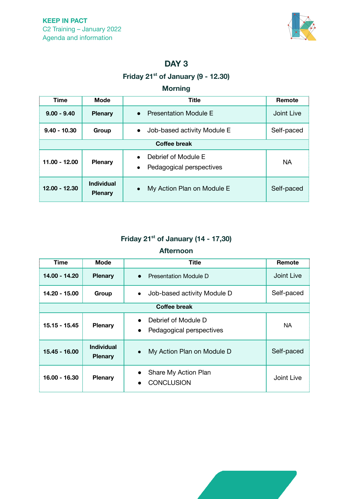

### **DAY 3**

## **Friday 21st of January (9 - 12.30)**

#### **Morning**

| <b>Time</b>         | Mode                                | <b>Title</b>                                                              | Remote     |
|---------------------|-------------------------------------|---------------------------------------------------------------------------|------------|
| $9.00 - 9.40$       | <b>Plenary</b>                      | <b>Presentation Module E</b><br>$\bullet$                                 | Joint Live |
| $9.40 - 10.30$      | Group                               | Job-based activity Module E<br>$\bullet$                                  | Self-paced |
| <b>Coffee break</b> |                                     |                                                                           |            |
| 11.00 - 12.00       | <b>Plenary</b>                      | Debrief of Module E<br>$\bullet$<br>Pedagogical perspectives<br>$\bullet$ | <b>NA</b>  |
| 12.00 - 12.30       | <b>Individual</b><br><b>Plenary</b> | My Action Plan on Module E<br>$\bullet$                                   | Self-paced |

## **Friday 21st of January (14 - 17,30)**

#### **Afternoon**

| <b>Time</b>         | Mode                                | <b>Title</b>                                                              | Remote     |
|---------------------|-------------------------------------|---------------------------------------------------------------------------|------------|
| 14.00 - 14.20       | <b>Plenary</b>                      | <b>Presentation Module D</b><br>$\bullet$                                 | Joint Live |
| 14.20 - 15.00       | Group                               | Job-based activity Module D<br>$\bullet$                                  | Self-paced |
| <b>Coffee break</b> |                                     |                                                                           |            |
| 15.15 - 15.45       | <b>Plenary</b>                      | Debrief of Module D<br>$\bullet$<br>Pedagogical perspectives<br>$\bullet$ | <b>NA</b>  |
| 15.45 - 16.00       | <b>Individual</b><br><b>Plenary</b> | My Action Plan on Module D<br>$\bullet$                                   | Self-paced |
| 16.00 - 16.30       | <b>Plenary</b>                      | Share My Action Plan<br><b>CONCLUSION</b><br>$\bullet$                    | Joint Live |